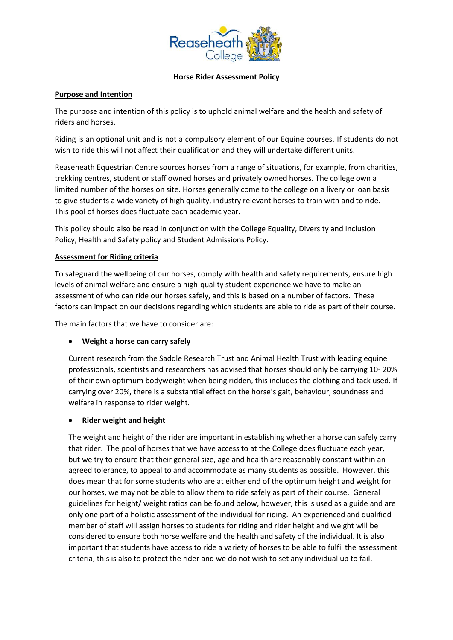

#### **Horse Rider Assessment Policy**

### **Purpose and Intention**

The purpose and intention of this policy is to uphold animal welfare and the health and safety of riders and horses.

Riding is an optional unit and is not a compulsory element of our Equine courses. If students do not wish to ride this will not affect their qualification and they will undertake different units.

Reaseheath Equestrian Centre sources horses from a range of situations, for example, from charities, trekking centres, student or staff owned horses and privately owned horses. The college own a limited number of the horses on site. Horses generally come to the college on a livery or loan basis to give students a wide variety of high quality, industry relevant horses to train with and to ride. This pool of horses does fluctuate each academic year.

This policy should also be read in conjunction with the College Equality, Diversity and Inclusion Policy, Health and Safety policy and Student Admissions Policy.

### **Assessment for Riding criteria**

To safeguard the wellbeing of our horses, comply with health and safety requirements, ensure high levels of animal welfare and ensure a high-quality student experience we have to make an assessment of who can ride our horses safely, and this is based on a number of factors. These factors can impact on our decisions regarding which students are able to ride as part of their course.

The main factors that we have to consider are:

# • **Weight a horse can carry safely**

Current research from the Saddle Research Trust and Animal Health Trust with leading equine professionals, scientists and researchers has advised that horses should only be carrying 10- 20% of their own optimum bodyweight when being ridden, this includes the clothing and tack used. If carrying over 20%, there is a substantial effect on the horse's gait, behaviour, soundness and welfare in response to rider weight.

# • **Rider weight and height**

The weight and height of the rider are important in establishing whether a horse can safely carry that rider. The pool of horses that we have access to at the College does fluctuate each year, but we try to ensure that their general size, age and health are reasonably constant within an agreed tolerance, to appeal to and accommodate as many students as possible. However, this does mean that for some students who are at either end of the optimum height and weight for our horses, we may not be able to allow them to ride safely as part of their course. General guidelines for height/ weight ratios can be found below, however, this is used as a guide and are only one part of a holistic assessment of the individual for riding. An experienced and qualified member of staff will assign horses to students for riding and rider height and weight will be considered to ensure both horse welfare and the health and safety of the individual. It is also important that students have access to ride a variety of horses to be able to fulfil the assessment criteria; this is also to protect the rider and we do not wish to set any individual up to fail.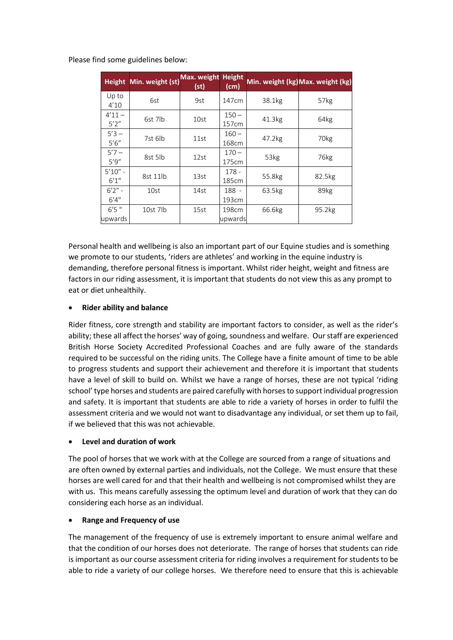Please find some guidelines below:

| <b>Height</b>      | Min. weight (st) | Max. weight<br>(st) | <b>Height</b><br>(cm) |        | Min. weight (kg) Max. weight (kg) |
|--------------------|------------------|---------------------|-----------------------|--------|-----------------------------------|
| Up to<br>4'10      | 6st              | 9st                 | 147cm                 | 38.1kg | 57kg                              |
| $4'11 -$<br>5'2''  | 6st 7lb          | 10st                | $150 -$<br>157cm      | 41.3kg | 64kg                              |
| $5'3 -$<br>5'6''   | 7st 6lb          | 11st                | $160 -$<br>168cm      | 47.2kg | 70 <sub>kg</sub>                  |
| $5'7 -$<br>5'9''   | 8st 5lb          | 12st                | $170 -$<br>175cm      | 53kg   | 76kg                              |
| $5'10" -$<br>6'1'' | 8st 11lb         | 13st                | $178 -$<br>185cm      | 55.8kg | 82.5kg                            |
| $6'2" -$<br>6'4''  | 10st             | 14st                | 188 -<br>193cm        | 63.5kg | 89kg                              |
| 6'5''<br>upwards   | 10st 7lb         | 15st                | 198cm<br>upwards      | 66.6kg | 95.2kg                            |

Personal health and wellbeing is also an important part of our Equine studies and is something we promote to our students, 'riders are athletes' and working in the equine industry is demanding, therefore personal fitness is important. Whilst rider height, weight and fitness are factors in our riding assessment, it is important that students do not view this as any prompt to eat or diet unhealthily.

# • **Rider ability and balance**

Rider fitness, core strength and stability are important factors to consider, as well as the rider's ability; these all affect the horses' way of going, soundness and welfare. Ourstaff are experienced British Horse Society Accredited Professional Coaches and are fully aware of the standards required to be successful on the riding units. The College have a finite amount of time to be able to progress students and support their achievement and therefore it is important that students have a level of skill to build on. Whilst we have a range of horses, these are not typical 'riding school' type horses and students are paired carefully with horses to support individual progression and safety. It is important that students are able to ride a variety of horses in order to fulfil the assessment criteria and we would not want to disadvantage any individual, or set them up to fail, if we believed that this was not achievable.

#### • **Level and duration of work**

The pool of horses that we work with at the College are sourced from a range of situations and are often owned by external parties and individuals, not the College. We must ensure that these horses are well cared for and that their health and wellbeing is not compromised whilst they are with us. This means carefully assessing the optimum level and duration of work that they can do considering each horse as an individual.

# • **Range and Frequency of use**

The management of the frequency of use is extremely important to ensure animal welfare and that the condition of our horses does not deteriorate. The range of horses that students can ride is important as our course assessment criteria for riding involves a requirement for students to be able to ride a variety of our college horses. We therefore need to ensure that this is achievable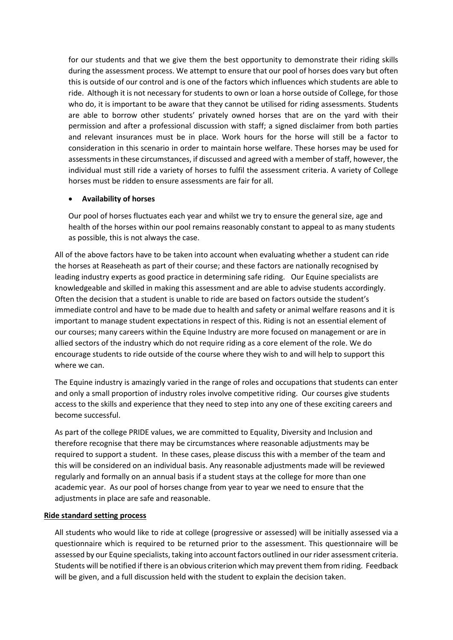for our students and that we give them the best opportunity to demonstrate their riding skills during the assessment process. We attempt to ensure that our pool of horses does vary but often this is outside of our control and is one of the factors which influences which students are able to ride. Although it is not necessary for students to own or loan a horse outside of College, for those who do, it is important to be aware that they cannot be utilised for riding assessments. Students are able to borrow other students' privately owned horses that are on the yard with their permission and after a professional discussion with staff; a signed disclaimer from both parties and relevant insurances must be in place. Work hours for the horse will still be a factor to consideration in this scenario in order to maintain horse welfare. These horses may be used for assessments in these circumstances, if discussed and agreed with a member of staff, however, the individual must still ride a variety of horses to fulfil the assessment criteria. A variety of College horses must be ridden to ensure assessments are fair for all.

#### • **Availability of horses**

Our pool of horses fluctuates each year and whilst we try to ensure the general size, age and health of the horses within our pool remains reasonably constant to appeal to as many students as possible, this is not always the case.

All of the above factors have to be taken into account when evaluating whether a student can ride the horses at Reaseheath as part of their course; and these factors are nationally recognised by leading industry experts as good practice in determining safe riding. Our Equine specialists are knowledgeable and skilled in making this assessment and are able to advise students accordingly. Often the decision that a student is unable to ride are based on factors outside the student's immediate control and have to be made due to health and safety or animal welfare reasons and it is important to manage student expectations in respect of this. Riding is not an essential element of our courses; many careers within the Equine Industry are more focused on management or are in allied sectors of the industry which do not require riding as a core element of the role. We do encourage students to ride outside of the course where they wish to and will help to support this where we can.

The Equine industry is amazingly varied in the range of roles and occupations that students can enter and only a small proportion of industry roles involve competitive riding. Our courses give students access to the skills and experience that they need to step into any one of these exciting careers and become successful.

As part of the college PRIDE values, we are committed to Equality, Diversity and Inclusion and therefore recognise that there may be circumstances where reasonable adjustments may be required to support a student. In these cases, please discuss this with a member of the team and this will be considered on an individual basis. Any reasonable adjustments made will be reviewed regularly and formally on an annual basis if a student stays at the college for more than one academic year. As our pool of horses change from year to year we need to ensure that the adjustments in place are safe and reasonable.

#### **Ride standard setting process**

All students who would like to ride at college (progressive or assessed) will be initially assessed via a questionnaire which is required to be returned prior to the assessment. This questionnaire will be assessed by our Equine specialists, taking into account factors outlined in our rider assessment criteria. Students will be notified if there is an obvious criterion which may prevent them from riding. Feedback will be given, and a full discussion held with the student to explain the decision taken.